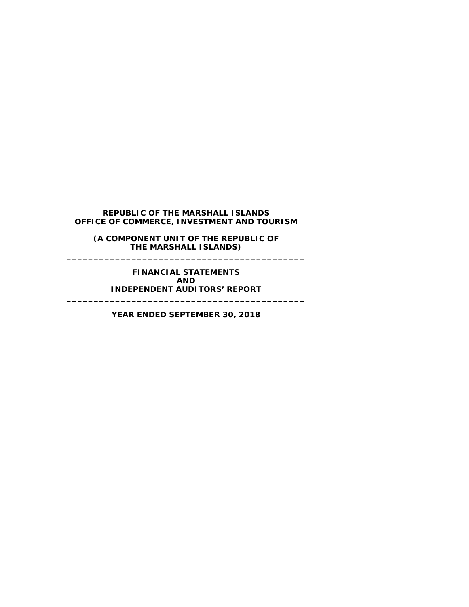**(A COMPONENT UNIT OF THE REPUBLIC OF THE MARSHALL ISLANDS) \_\_\_\_\_\_\_\_\_\_\_\_\_\_\_\_\_\_\_\_\_\_\_\_\_\_\_\_\_\_\_\_\_\_\_\_\_\_\_\_\_\_\_\_**

**FINANCIAL STATEMENTS AND INDEPENDENT AUDITORS' REPORT \_\_\_\_\_\_\_\_\_\_\_\_\_\_\_\_\_\_\_\_\_\_\_\_\_\_\_\_\_\_\_\_\_\_\_\_\_\_\_\_\_\_\_\_**

**YEAR ENDED SEPTEMBER 30, 2018**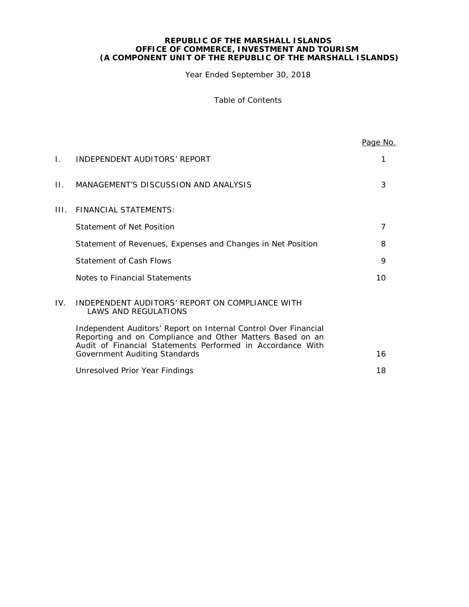Year Ended September 30, 2018

Table of Contents

|      |                                                                                                                                                                                            | Page No. |
|------|--------------------------------------------------------------------------------------------------------------------------------------------------------------------------------------------|----------|
| L.   | INDEPENDENT AUDITORS' REPORT                                                                                                                                                               | 1        |
| П.   | MANAGEMENT'S DISCUSSION AND ANALYSIS                                                                                                                                                       | 3        |
| III. | FINANCIAL STATEMENTS:                                                                                                                                                                      |          |
|      | Statement of Net Position                                                                                                                                                                  | 7        |
|      | Statement of Revenues, Expenses and Changes in Net Position                                                                                                                                | 8        |
|      | <b>Statement of Cash Flows</b>                                                                                                                                                             | 9        |
|      | Notes to Financial Statements                                                                                                                                                              | 10       |
| IV.  | INDEPENDENT AUDITORS' REPORT ON COMPLIANCE WITH<br><b>LAWS AND REGULATIONS</b>                                                                                                             |          |
|      | Independent Auditors' Report on Internal Control Over Financial<br>Reporting and on Compliance and Other Matters Based on an<br>Audit of Financial Statements Performed in Accordance With | 16       |
|      | Government Auditing Standards                                                                                                                                                              |          |
|      | Unresolved Prior Year Findings                                                                                                                                                             | 18       |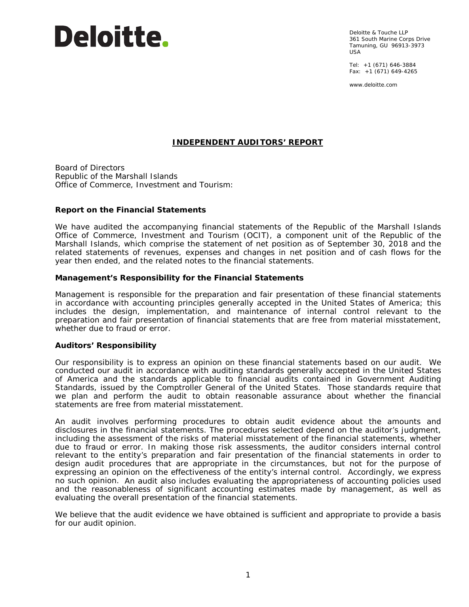# Deloitte.

Deloitte & Touche LLP 361 South Marine Corps Drive Tamuning, GU 96913-3973 USA

Tel: +1 (671) 646-3884 Fax: +1 (671) 649-4265

www.deloitte.com

#### **INDEPENDENT AUDITORS' REPORT**

Board of Directors Republic of the Marshall Islands Office of Commerce, Investment and Tourism:

#### **Report on the Financial Statements**

We have audited the accompanying financial statements of the Republic of the Marshall Islands Office of Commerce, Investment and Tourism (OCIT), a component unit of the Republic of the Marshall Islands, which comprise the statement of net position as of September 30, 2018 and the related statements of revenues, expenses and changes in net position and of cash flows for the year then ended, and the related notes to the financial statements.

#### *Management's Responsibility for the Financial Statements*

Management is responsible for the preparation and fair presentation of these financial statements in accordance with accounting principles generally accepted in the United States of America; this includes the design, implementation, and maintenance of internal control relevant to the preparation and fair presentation of financial statements that are free from material misstatement, whether due to fraud or error.

#### *Auditors' Responsibility*

Our responsibility is to express an opinion on these financial statements based on our audit. We conducted our audit in accordance with auditing standards generally accepted in the United States of America and the standards applicable to financial audits contained in *Government Auditing Standards,* issued by the Comptroller General of the United States. Those standards require that we plan and perform the audit to obtain reasonable assurance about whether the financial statements are free from material misstatement.

An audit involves performing procedures to obtain audit evidence about the amounts and disclosures in the financial statements. The procedures selected depend on the auditor's judgment, including the assessment of the risks of material misstatement of the financial statements, whether due to fraud or error. In making those risk assessments, the auditor considers internal control relevant to the entity's preparation and fair presentation of the financial statements in order to design audit procedures that are appropriate in the circumstances, but not for the purpose of expressing an opinion on the effectiveness of the entity's internal control. Accordingly, we express no such opinion. An audit also includes evaluating the appropriateness of accounting policies used and the reasonableness of significant accounting estimates made by management, as well as evaluating the overall presentation of the financial statements.

We believe that the audit evidence we have obtained is sufficient and appropriate to provide a basis for our audit opinion.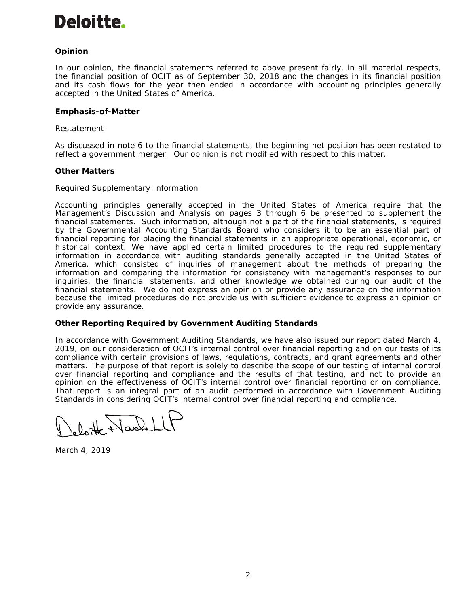# Deloitte.

#### *Opinion*

In our opinion, the financial statements referred to above present fairly, in all material respects, the financial position of OCIT as of September 30, 2018 and the changes in its financial position and its cash flows for the year then ended in accordance with accounting principles generally accepted in the United States of America.

#### **Emphasis-of-Matter**

#### *Restatement*

As discussed in note 6 to the financial statements, the beginning net position has been restated to reflect a government merger. Our opinion is not modified with respect to this matter.

#### *Other Matters*

#### *Required Supplementary Information*

Accounting principles generally accepted in the United States of America require that the Management's Discussion and Analysis on pages 3 through 6 be presented to supplement the financial statements. Such information, although not a part of the financial statements, is required by the Governmental Accounting Standards Board who considers it to be an essential part of financial reporting for placing the financial statements in an appropriate operational, economic, or historical context. We have applied certain limited procedures to the required supplementary information in accordance with auditing standards generally accepted in the United States of America, which consisted of inquiries of management about the methods of preparing the information and comparing the information for consistency with management's responses to our inquiries, the financial statements, and other knowledge we obtained during our audit of the financial statements. We do not express an opinion or provide any assurance on the information because the limited procedures do not provide us with sufficient evidence to express an opinion or provide any assurance.

#### **Other Reporting Required by** *Government Auditing Standards*

In accordance with *Government Auditing Standards*, we have also issued our report dated March 4, 2019, on our consideration of OCIT's internal control over financial reporting and on our tests of its compliance with certain provisions of laws, regulations, contracts, and grant agreements and other matters. The purpose of that report is solely to describe the scope of our testing of internal control over financial reporting and compliance and the results of that testing, and not to provide an opinion on the effectiveness of OCIT's internal control over financial reporting or on compliance. That report is an integral part of an audit performed in accordance with *Government Auditing Standards* in considering OCIT's internal control over financial reporting and compliance.

lot Nach

March 4, 2019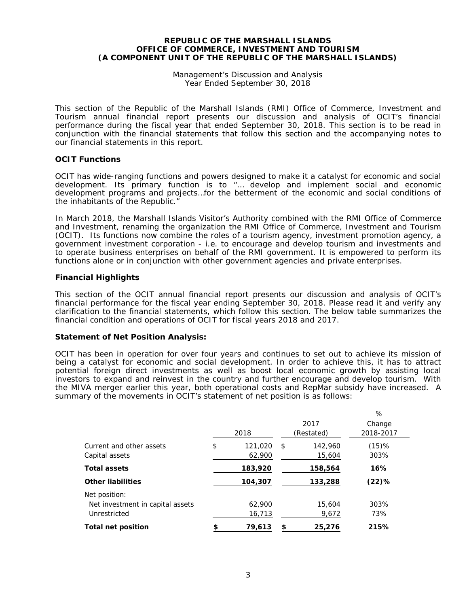Management's Discussion and Analysis Year Ended September 30, 2018

This section of the Republic of the Marshall Islands (RMI) Office of Commerce, Investment and Tourism annual financial report presents our discussion and analysis of OCIT's financial performance during the fiscal year that ended September 30, 2018. This section is to be read in conjunction with the financial statements that follow this section and the accompanying notes to our financial statements in this report.

#### **OCIT Functions**

OCIT has wide-ranging functions and powers designed to make it a catalyst for economic and social development. Its primary function is to "… develop and implement social and economic development programs and projects…for the betterment of the economic and social conditions of the inhabitants of the Republic."

In March 2018, the Marshall Islands Visitor's Authority combined with the RMI Office of Commerce and Investment, renaming the organization the RMI Office of Commerce, Investment and Tourism (OCIT). Its functions now combine the roles of a tourism agency, investment promotion agency, a government investment corporation - i.e. to encourage and develop tourism and investments and to operate business enterprises on behalf of the RMI government. It is empowered to perform its functions alone or in conjunction with other government agencies and private enterprises.

#### **Financial Highlights**

This section of the OCIT annual financial report presents our discussion and analysis of OCIT's financial performance for the fiscal year ending September 30, 2018. Please read it and verify any clarification to the financial statements, which follow this section. The below table summarizes the financial condition and operations of OCIT for fiscal years 2018 and 2017.

#### **Statement of Net Position Analysis:**

OCIT has been in operation for over four years and continues to set out to achieve its mission of being a catalyst for economic and social development. In order to achieve this, it has to attract potential foreign direct investments as well as boost local economic growth by assisting local investors to expand and reinvest in the country and further encourage and develop tourism. With the MIVA merger earlier this year, both operational costs and RepMar subsidy have increased. A summary of the movements in OCIT's statement of net position is as follows:

|                                                                   | 2018                    |    | 2017<br>(Restated) | %<br>Change<br>2018-2017 |
|-------------------------------------------------------------------|-------------------------|----|--------------------|--------------------------|
| Current and other assets<br>Capital assets                        | \$<br>121,020<br>62,900 | S  | 142,960<br>15,604  | $(15)$ %<br>303%         |
| <b>Total assets</b>                                               | 183,920                 |    | 158,564            | 16%                      |
| <b>Other liabilities</b>                                          | 104,307                 |    | 133,288            | $(22)$ %                 |
| Net position:<br>Net investment in capital assets<br>Unrestricted | 62,900<br>16,713        |    | 15,604<br>9,672    | 303%<br>73%              |
| <b>Total net position</b>                                         | \$<br>79,613            | \$ | 25,276             | 215%                     |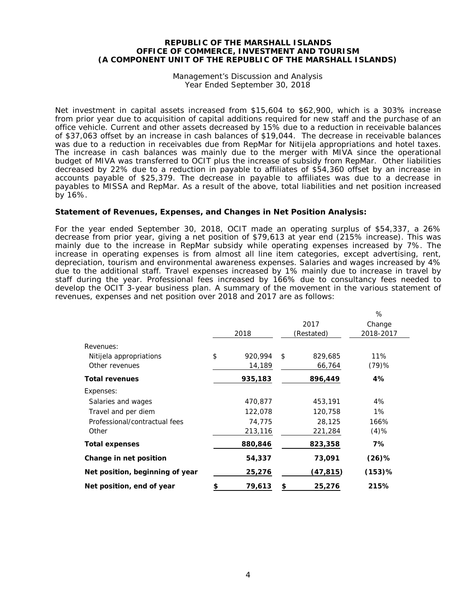#### Management's Discussion and Analysis Year Ended September 30, 2018

Net investment in capital assets increased from \$15,604 to \$62,900, which is a 303% increase from prior year due to acquisition of capital additions required for new staff and the purchase of an office vehicle. Current and other assets decreased by 15% due to a reduction in receivable balances of \$37,063 offset by an increase in cash balances of \$19,044. The decrease in receivable balances was due to a reduction in receivables due from RepMar for Nitijela appropriations and hotel taxes. The increase in cash balances was mainly due to the merger with MIVA since the operational budget of MIVA was transferred to OCIT plus the increase of subsidy from RepMar. Other liabilities decreased by 22% due to a reduction in payable to affiliates of \$54,360 offset by an increase in accounts payable of \$25,379. The decrease in payable to affiliates was due to a decrease in payables to MISSA and RepMar. As a result of the above, total liabilities and net position increased by 16%.

#### **Statement of Revenues, Expenses, and Changes in Net Position Analysis:**

For the year ended September 30, 2018, OCIT made an operating surplus of \$54,337, a 26% decrease from prior year, giving a net position of \$79,613 at year end (215% increase). This was mainly due to the increase in RepMar subsidy while operating expenses increased by 7%. The increase in operating expenses is from almost all line item categories, except advertising, rent, depreciation, tourism and environmental awareness expenses. Salaries and wages increased by 4% due to the additional staff. Travel expenses increased by 1% mainly due to increase in travel by staff during the year. Professional fees increased by 166% due to consultancy fees needed to develop the OCIT 3-year business plan. A summary of the movement in the various statement of revenues, expenses and net position over 2018 and 2017 are as follows:

|                                 |               |               | %         |
|---------------------------------|---------------|---------------|-----------|
|                                 |               | 2017          | Change    |
|                                 | 2018          | (Restated)    | 2018-2017 |
| Revenues:                       |               |               |           |
| Nitijela appropriations         | \$<br>920,994 | \$<br>829,685 | 11%       |
| Other revenues                  | 14,189        | 66,764        | (79)%     |
| <b>Total revenues</b>           | 935,183       | 896,449       | 4%        |
| Expenses:                       |               |               |           |
| Salaries and wages              | 470,877       | 453,191       | 4%        |
| Travel and per diem             | 122,078       | 120,758       | 1%        |
| Professional/contractual fees   | 74,775        | 28,125        | 166%      |
| Other                           | 213,116       | 221,284       | $(4)$ %   |
| <b>Total expenses</b>           | 880,846       | 823,358       | 7%        |
| Change in net position          | 54,337        | 73,091        | $(26)\%$  |
| Net position, beginning of year | 25,276        | (47, 815)     | $(153)$ % |
| Net position, end of year       | \$<br>79,613  | \$<br>25,276  | 215%      |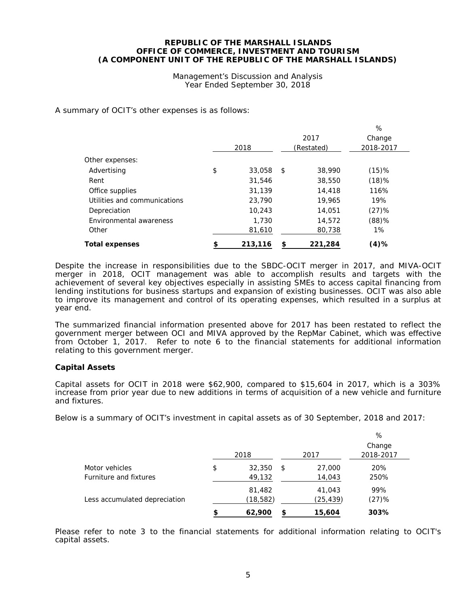Management's Discussion and Analysis Year Ended September 30, 2018

 $\sim$ 

A summary of OCIT's other expenses is as follows:

|                              |               |               | $\%$      |  |
|------------------------------|---------------|---------------|-----------|--|
|                              |               | 2017          | Change    |  |
|                              | 2018          | (Restated)    | 2018-2017 |  |
| Other expenses:              |               |               |           |  |
| Advertising                  | \$<br>33,058  | \$<br>38,990  | $(15)$ %  |  |
| Rent                         | 31,546        | 38,550        | (18)%     |  |
| Office supplies              | 31,139        | 14,418        | 116%      |  |
| Utilities and communications | 23,790        | 19,965        | 19%       |  |
| Depreciation                 | 10,243        | 14,051        | (27)%     |  |
| Environmental awareness      | 1,730         | 14,572        | (88)%     |  |
| Other                        | 81,610        | 80,738        | 1%        |  |
| <b>Total expenses</b>        | \$<br>213,116 | \$<br>221,284 | (4)%      |  |

Despite the increase in responsibilities due to the SBDC-OCIT merger in 2017, and MIVA-OCIT merger in 2018, OCIT management was able to accomplish results and targets with the achievement of several key objectives especially in assisting SMEs to access capital financing from lending institutions for business startups and expansion of existing businesses. OCIT was also able to improve its management and control of its operating expenses, which resulted in a surplus at year end.

The summarized financial information presented above for 2017 has been restated to reflect the government merger between OCI and MIVA approved by the RepMar Cabinet, which was effective from October 1, 2017. Refer to note 6 to the financial statements for additional information relating to this government merger.

#### **Capital Assets**

Capital assets for OCIT in 2018 were \$62,900, compared to \$15,604 in 2017, which is a 303% increase from prior year due to new additions in terms of acquisition of a new vehicle and furniture and fixtures.

Below is a summary of OCIT's investment in capital assets as of 30 September, 2018 and 2017:

|                                          |                        |                        | %                   |
|------------------------------------------|------------------------|------------------------|---------------------|
|                                          | 2018                   | 2017                   | Change<br>2018-2017 |
| Motor vehicles<br>Furniture and fixtures | \$<br>32,350<br>49,132 | \$<br>27,000<br>14,043 | 20%<br>250%         |
| Less accumulated depreciation            | 81,482<br>(18, 582)    | 41,043<br>(25, 439)    | 99%<br>(27)%        |
|                                          | \$<br>62,900           | 15,604                 | 303%                |

Please refer to note 3 to the financial statements for additional information relating to OCIT's capital assets.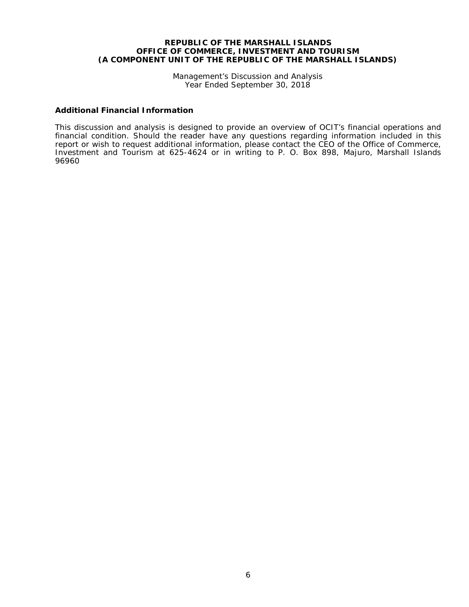Management's Discussion and Analysis Year Ended September 30, 2018

#### **Additional Financial Information**

This discussion and analysis is designed to provide an overview of OCIT's financial operations and financial condition. Should the reader have any questions regarding information included in this report or wish to request additional information, please contact the CEO of the Office of Commerce, Investment and Tourism at 625-4624 or in writing to P. O. Box 898, Majuro, Marshall Islands 96960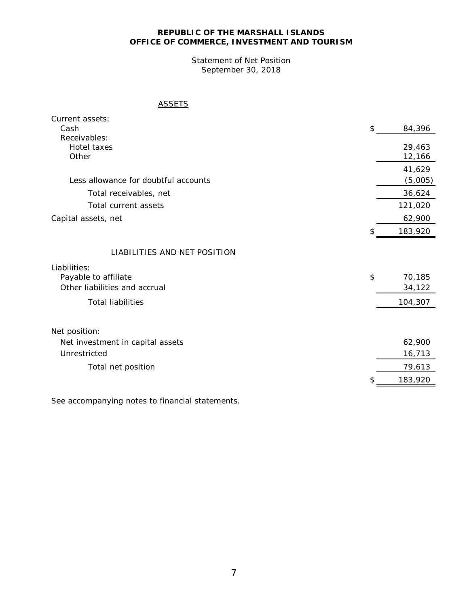Statement of Net Position September 30, 2018

#### **ASSETS**

| Current assets:                      |     |                  |
|--------------------------------------|-----|------------------|
| Cash                                 | \$  | 84,396           |
| Receivables:                         |     |                  |
| Hotel taxes<br>Other                 |     | 29,463<br>12,166 |
|                                      |     | 41,629           |
| Less allowance for doubtful accounts |     | (5,005)          |
| Total receivables, net               |     | 36,624           |
| Total current assets                 |     | 121,020          |
|                                      |     |                  |
| Capital assets, net                  |     | 62,900           |
|                                      | \$. | 183,920          |
|                                      |     |                  |
| <b>LIABILITIES AND NET POSITION</b>  |     |                  |
| Liabilities:                         |     |                  |
| Payable to affiliate                 | \$  | 70,185           |
| Other liabilities and accrual        |     | 34,122           |
| <b>Total liabilities</b>             |     | 104,307          |
|                                      |     |                  |
| Net position:                        |     |                  |
| Net investment in capital assets     |     | 62,900           |
| Unrestricted                         |     | 16,713           |
| Total net position                   |     | 79,613           |
|                                      |     | 183,920          |
|                                      |     |                  |

See accompanying notes to financial statements.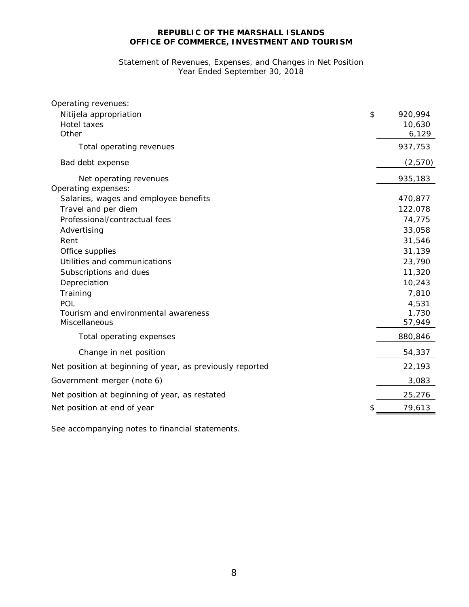#### Statement of Revenues, Expenses, and Changes in Net Position Year Ended September 30, 2018

| Operating revenues:                                       |               |
|-----------------------------------------------------------|---------------|
| Nitijela appropriation                                    | \$<br>920,994 |
| Hotel taxes                                               | 10,630        |
| Other                                                     | 6,129         |
| Total operating revenues                                  | 937,753       |
| Bad debt expense                                          | (2,570)       |
| Net operating revenues                                    | 935,183       |
| Operating expenses:                                       |               |
| Salaries, wages and employee benefits                     | 470,877       |
| Travel and per diem                                       | 122,078       |
| Professional/contractual fees                             | 74,775        |
| Advertising                                               | 33,058        |
| Rent                                                      | 31,546        |
| Office supplies                                           | 31,139        |
| Utilities and communications                              | 23,790        |
| Subscriptions and dues                                    | 11,320        |
| Depreciation                                              | 10,243        |
| Training                                                  | 7,810         |
| POL                                                       | 4,531         |
| Tourism and environmental awareness                       | 1,730         |
| Miscellaneous                                             | 57,949        |
| Total operating expenses                                  | 880,846       |
| Change in net position                                    | 54,337        |
| Net position at beginning of year, as previously reported | 22,193        |
| Government merger (note 6)                                | 3,083         |
| Net position at beginning of year, as restated            | 25,276        |
| Net position at end of year                               | 79,613        |
|                                                           |               |

See accompanying notes to financial statements.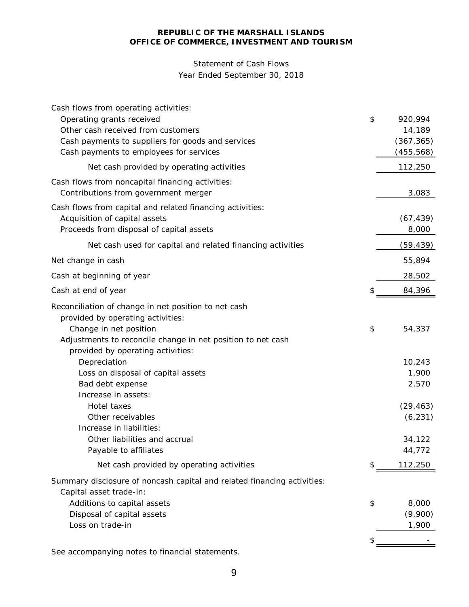## Statement of Cash Flows

### Year Ended September 30, 2018

| Cash flows from operating activities:                                   |                         |
|-------------------------------------------------------------------------|-------------------------|
| Operating grants received                                               | \$<br>920,994           |
| Other cash received from customers                                      | 14,189                  |
| Cash payments to suppliers for goods and services                       | (367, 365)              |
| Cash payments to employees for services                                 | (455, 568)              |
| Net cash provided by operating activities                               | 112,250                 |
| Cash flows from noncapital financing activities:                        |                         |
| Contributions from government merger                                    | 3,083                   |
| Cash flows from capital and related financing activities:               |                         |
| Acquisition of capital assets                                           | (67, 439)               |
| Proceeds from disposal of capital assets                                | 8,000                   |
| Net cash used for capital and related financing activities              | (59, 439)               |
| Net change in cash                                                      | 55,894                  |
| Cash at beginning of year                                               | 28,502                  |
| Cash at end of year                                                     | \$<br>84,396            |
| Reconciliation of change in net position to net cash                    |                         |
| provided by operating activities:                                       |                         |
| Change in net position                                                  | \$<br>54,337            |
| Adjustments to reconcile change in net position to net cash             |                         |
| provided by operating activities:                                       |                         |
| Depreciation                                                            | 10,243                  |
| Loss on disposal of capital assets                                      | 1,900                   |
| Bad debt expense                                                        | 2,570                   |
| Increase in assets:                                                     |                         |
| Hotel taxes                                                             | (29, 463)               |
| Other receivables                                                       | (6, 231)                |
| Increase in liabilities:                                                |                         |
| Other liabilities and accrual<br>Payable to affiliates                  | 34,122                  |
| Net cash provided by operating activities                               | \$<br>44,772<br>112,250 |
|                                                                         |                         |
| Summary disclosure of noncash capital and related financing activities: |                         |
| Capital asset trade-in:                                                 |                         |
| Additions to capital assets                                             | \$<br>8,000             |
| Disposal of capital assets<br>Loss on trade-in                          | (9,900)                 |
|                                                                         | 1,900                   |
|                                                                         |                         |

See accompanying notes to financial statements.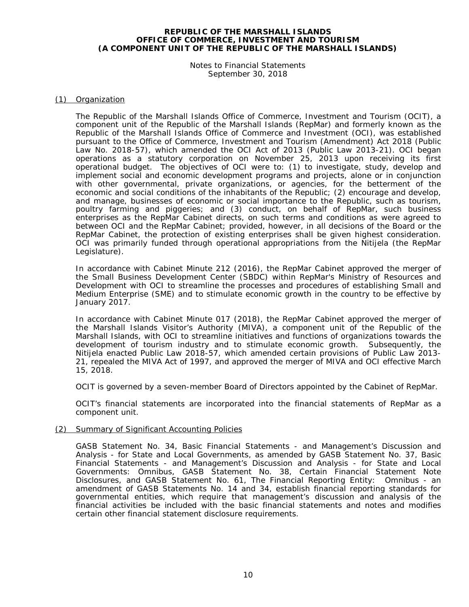Notes to Financial Statements September 30, 2018

#### (1) Organization

The Republic of the Marshall Islands Office of Commerce, Investment and Tourism (OCIT), a component unit of the Republic of the Marshall Islands (RepMar) and formerly known as the Republic of the Marshall Islands Office of Commerce and Investment (OCI), was established pursuant to the Office of Commerce, Investment and Tourism (Amendment) Act 2018 (Public Law No. 2018-57), which amended the OCI Act of 2013 (Public Law 2013-21). OCI began operations as a statutory corporation on November 25, 2013 upon receiving its first operational budget. The objectives of OCI were to: (1) to investigate, study, develop and implement social and economic development programs and projects, alone or in conjunction with other governmental, private organizations, or agencies, for the betterment of the economic and social conditions of the inhabitants of the Republic; (2) encourage and develop, and manage, businesses of economic or social importance to the Republic, such as tourism, poultry farming and piggeries; and (3) conduct, on behalf of RepMar, such business enterprises as the RepMar Cabinet directs, on such terms and conditions as were agreed to between OCI and the RepMar Cabinet; provided, however, in all decisions of the Board or the RepMar Cabinet, the protection of existing enterprises shall be given highest consideration. OCI was primarily funded through operational appropriations from the Nitijela (the RepMar Legislature).

In accordance with Cabinet Minute 212 (2016), the RepMar Cabinet approved the merger of the Small Business Development Center (SBDC) within RepMar's Ministry of Resources and Development with OCI to streamline the processes and procedures of establishing Small and Medium Enterprise (SME) and to stimulate economic growth in the country to be effective by January 2017.

In accordance with Cabinet Minute 017 (2018), the RepMar Cabinet approved the merger of the Marshall Islands Visitor's Authority (MIVA), a component unit of the Republic of the Marshall Islands, with OCI to streamline initiatives and functions of organizations towards the development of tourism industry and to stimulate economic growth. Subsequently, the Nitijela enacted Public Law 2018-57, which amended certain provisions of Public Law 2013- 21, repealed the MIVA Act of 1997, and approved the merger of MIVA and OCI effective March 15, 2018.

OCIT is governed by a seven-member Board of Directors appointed by the Cabinet of RepMar.

OCIT's financial statements are incorporated into the financial statements of RepMar as a component unit.

#### (2) Summary of Significant Accounting Policies

GASB Statement No. 34, *Basic Financial Statements - and Management's Discussion and Analysis - for State and Local Governments*, as amended by GASB Statement No. 37, *Basic Financial Statements - and Management's Discussion and Analysis - for State and Local Governments: Omnibus*, GASB Statement No. 38, *Certain Financial Statement Note Disclosures,* and GASB Statement No. 61, *The Financial Reporting Entity: Omnibus - an amendment of GASB Statements No. 14 and 34,* establish financial reporting standards for governmental entities, which require that management's discussion and analysis of the financial activities be included with the basic financial statements and notes and modifies certain other financial statement disclosure requirements.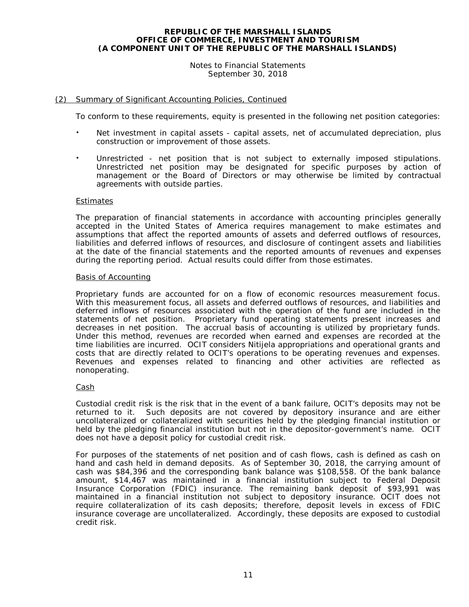#### Notes to Financial Statements September 30, 2018

#### (2) Summary of Significant Accounting Policies, Continued

To conform to these requirements, equity is presented in the following net position categories:

- Net investment in capital assets capital assets, net of accumulated depreciation, plus construction or improvement of those assets.
- Unrestricted net position that is not subject to externally imposed stipulations. Unrestricted net position may be designated for specific purposes by action of management or the Board of Directors or may otherwise be limited by contractual agreements with outside parties.

#### **Estimates**

The preparation of financial statements in accordance with accounting principles generally accepted in the United States of America requires management to make estimates and assumptions that affect the reported amounts of assets and deferred outflows of resources, liabilities and deferred inflows of resources, and disclosure of contingent assets and liabilities at the date of the financial statements and the reported amounts of revenues and expenses during the reporting period. Actual results could differ from those estimates.

#### Basis of Accounting

Proprietary funds are accounted for on a flow of economic resources measurement focus. With this measurement focus, all assets and deferred outflows of resources, and liabilities and deferred inflows of resources associated with the operation of the fund are included in the statements of net position. Proprietary fund operating statements present increases and decreases in net position. The accrual basis of accounting is utilized by proprietary funds. Under this method, revenues are recorded when earned and expenses are recorded at the time liabilities are incurred. OCIT considers Nitijela appropriations and operational grants and costs that are directly related to OCIT's operations to be operating revenues and expenses. Revenues and expenses related to financing and other activities are reflected as nonoperating.

#### Cash

Custodial credit risk is the risk that in the event of a bank failure, OCIT's deposits may not be returned to it. Such deposits are not covered by depository insurance and are either uncollateralized or collateralized with securities held by the pledging financial institution or held by the pledging financial institution but not in the depositor-government's name. OCIT does not have a deposit policy for custodial credit risk.

For purposes of the statements of net position and of cash flows, cash is defined as cash on hand and cash held in demand deposits. As of September 30, 2018, the carrying amount of cash was \$84,396 and the corresponding bank balance was \$108,558. Of the bank balance amount, \$14,467 was maintained in a financial institution subject to Federal Deposit Insurance Corporation (FDIC) insurance. The remaining bank deposit of \$93,991 was maintained in a financial institution not subject to depository insurance. OCIT does not require collateralization of its cash deposits; therefore, deposit levels in excess of FDIC insurance coverage are uncollateralized. Accordingly, these deposits are exposed to custodial credit risk.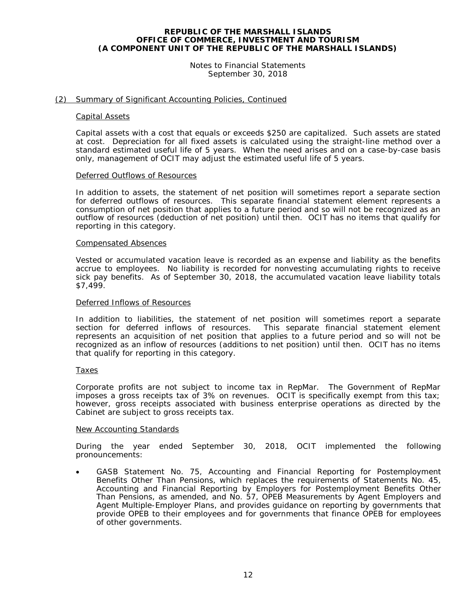Notes to Financial Statements September 30, 2018

#### (2) Summary of Significant Accounting Policies, Continued

#### Capital Assets

Capital assets with a cost that equals or exceeds \$250 are capitalized. Such assets are stated at cost. Depreciation for all fixed assets is calculated using the straight-line method over a standard estimated useful life of 5 years. When the need arises and on a case-by-case basis only, management of OCIT may adjust the estimated useful life of 5 years.

#### Deferred Outflows of Resources

In addition to assets, the statement of net position will sometimes report a separate section for deferred outflows of resources. This separate financial statement element represents a consumption of net position that applies to a future period and so will not be recognized as an outflow of resources (deduction of net position) until then. OCIT has no items that qualify for reporting in this category.

#### Compensated Absences

Vested or accumulated vacation leave is recorded as an expense and liability as the benefits accrue to employees. No liability is recorded for nonvesting accumulating rights to receive sick pay benefits. As of September 30, 2018, the accumulated vacation leave liability totals \$7,499.

#### Deferred Inflows of Resources

In addition to liabilities, the statement of net position will sometimes report a separate section for deferred inflows of resources. This separate financial statement element section for deferred inflows of resources. represents an acquisition of net position that applies to a future period and so will not be recognized as an inflow of resources (additions to net position) until then. OCIT has no items that qualify for reporting in this category.

#### **Taxes**

Corporate profits are not subject to income tax in RepMar. The Government of RepMar imposes a gross receipts tax of 3% on revenues. OCIT is specifically exempt from this tax; however, gross receipts associated with business enterprise operations as directed by the Cabinet are subject to gross receipts tax.

#### New Accounting Standards

During the year ended September 30, 2018, OCIT implemented the following pronouncements:

• GASB Statement No. 75, *Accounting and Financial Reporting for Postemployment Benefits Other Than Pensions*, which replaces the requirements of Statements No. 45, *Accounting and Financial Reporting by Employers for Postemployment Benefits Other Than Pensions*, as amended, and No. 57, *OPEB Measurements by Agent Employers and Agent Multiple-Employer Plans*, and provides guidance on reporting by governments that provide OPEB to their employees and for governments that finance OPEB for employees of other governments.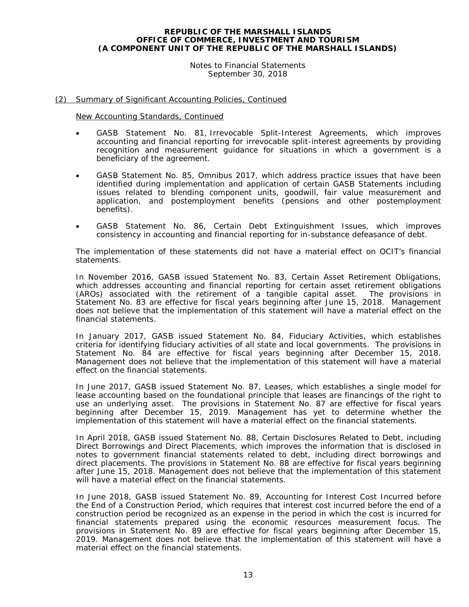Notes to Financial Statements September 30, 2018

#### (2) Summary of Significant Accounting Policies, Continued

New Accounting Standards, Continued

- GASB Statement No. 81, *Irrevocable Split-Interest Agreements,* which improves accounting and financial reporting for irrevocable split-interest agreements by providing recognition and measurement guidance for situations in which a government is a beneficiary of the agreement.
- GASB Statement No. 85, *Omnibus 2017*, which address practice issues that have been identified during implementation and application of certain GASB Statements including issues related to blending component units, goodwill, fair value measurement and application, and postemployment benefits (pensions and other postemployment benefits).
- GASB Statement No. 86, *Certain Debt Extinguishment Issues*, which improves consistency in accounting and financial reporting for in-substance defeasance of debt.

The implementation of these statements did not have a material effect on OCIT's financial statements.

In November 2016, GASB issued Statement No. 83, *Certain Asset Retirement Obligations*, which addresses accounting and financial reporting for certain asset retirement obligations (AROs) associated with the retirement of a tangible capital asset. The provisions in Statement No. 83 are effective for fiscal years beginning after June 15, 2018. Management does not believe that the implementation of this statement will have a material effect on the financial statements.

In January 2017, GASB issued Statement No. 84, *Fiduciary Activities*, which establishes criteria for identifying fiduciary activities of all state and local governments. The provisions in Statement No. 84 are effective for fiscal years beginning after December 15, 2018. Management does not believe that the implementation of this statement will have a material effect on the financial statements.

In June 2017, GASB issued Statement No. 87, *Leases*, which establishes a single model for lease accounting based on the foundational principle that leases are financings of the right to use an underlying asset. The provisions in Statement No. 87 are effective for fiscal years beginning after December 15, 2019. Management has yet to determine whether the implementation of this statement will have a material effect on the financial statements.

In April 2018, GASB issued Statement No. 88, *Certain Disclosures Related to Debt, including Direct Borrowings and Direct Placements*, which improves the information that is disclosed in notes to government financial statements related to debt, including direct borrowings and direct placements. The provisions in Statement No. 88 are effective for fiscal years beginning after June 15, 2018. Management does not believe that the implementation of this statement will have a material effect on the financial statements.

In June 2018, GASB issued Statement No. 89, *Accounting for Interest Cost Incurred before the End of a Construction Period*, which requires that interest cost incurred before the end of a construction period be recognized as an expense in the period in which the cost is incurred for financial statements prepared using the economic resources measurement focus. The provisions in Statement No. 89 are effective for fiscal years beginning after December 15, 2019. Management does not believe that the implementation of this statement will have a material effect on the financial statements.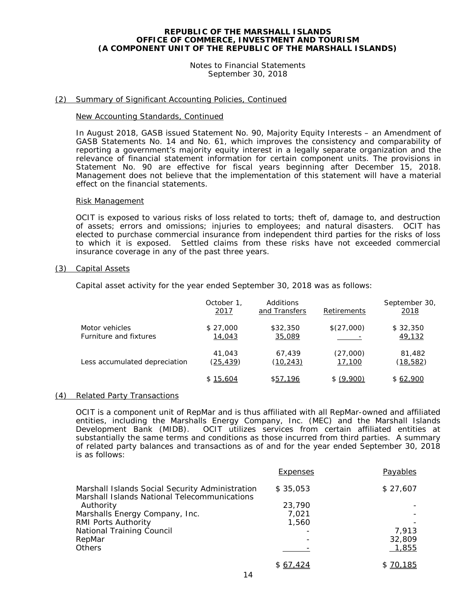Notes to Financial Statements September 30, 2018

#### (2) Summary of Significant Accounting Policies, Continued

#### New Accounting Standards, Continued

In August 2018, GASB issued Statement No. 90, *Majority Equity Interests – an Amendment of GASB Statements No. 14 and No. 61,* which improves the consistency and comparability of reporting a government's majority equity interest in a legally separate organization and the relevance of financial statement information for certain component units. The provisions in Statement No. 90 are effective for fiscal years beginning after December 15, 2018. Management does not believe that the implementation of this statement will have a material effect on the financial statements.

#### Risk Management

OCIT is exposed to various risks of loss related to torts; theft of, damage to, and destruction of assets; errors and omissions; injuries to employees; and natural disasters. OCIT has elected to purchase commercial insurance from independent third parties for the risks of loss to which it is exposed. Settled claims from these risks have not exceeded commercial insurance coverage in any of the past three years.

#### (3) Capital Assets

Capital asset activity for the year ended September 30, 2018 was as follows:

|                               | October 1,<br><u>2017</u> | Additions<br>and Transfers | Retirements | September 30,<br>2018 |
|-------------------------------|---------------------------|----------------------------|-------------|-----------------------|
| Motor vehicles                | \$27,000                  | \$32,350                   | \$(27,000)  | \$32,350              |
| Furniture and fixtures        | 14,043                    | 35,089                     |             | 49,132                |
| Less accumulated depreciation | 41,043                    | 67,439                     | (27,000)    | 81,482                |
|                               | (25, 439)                 | (10, 243)                  | 17,100      | (18, 582)             |
|                               | \$15,604                  | \$57,196                   | \$ (9,900)  | \$62,900              |

#### (4) Related Party Transactions

OCIT is a component unit of RepMar and is thus affiliated with all RepMar-owned and affiliated entities, including the Marshalls Energy Company, Inc. (MEC) and the Marshall Islands<br>Development Bank (MIDB). OCIT utilizes services from certain affiliated entities at OCIT utilizes services from certain affiliated entities at substantially the same terms and conditions as those incurred from third parties. A summary of related party balances and transactions as of and for the year ended September 30, 2018 is as follows:

|                                                                                                 | Expenses | Payables |
|-------------------------------------------------------------------------------------------------|----------|----------|
| Marshall Islands Social Security Administration<br>Marshall Islands National Telecommunications | \$35,053 | \$27,607 |
| Authority                                                                                       | 23,790   |          |
| Marshalls Energy Company, Inc.                                                                  | 7.021    |          |
| RMI Ports Authority                                                                             | 1,560    |          |
| National Training Council                                                                       |          | 7.913    |
| RepMar                                                                                          | -        | 32,809   |
| <b>Others</b>                                                                                   |          | 1,855    |
|                                                                                                 | \$67,424 | \$70,185 |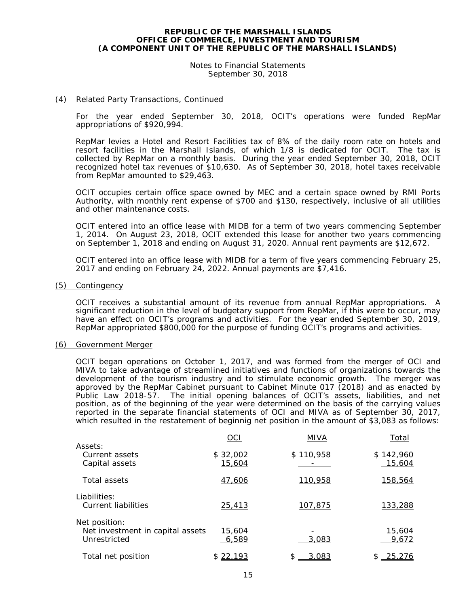Notes to Financial Statements September 30, 2018

#### (4) Related Party Transactions, Continued

For the year ended September 30, 2018, OCIT's operations were funded RepMar appropriations of \$920,994.

RepMar levies a Hotel and Resort Facilities tax of 8% of the daily room rate on hotels and resort facilities in the Marshall Islands, of which 1/8 is dedicated for OCIT. The tax is collected by RepMar on a monthly basis. During the year ended September 30, 2018, OCIT recognized hotel tax revenues of \$10,630. As of September 30, 2018, hotel taxes receivable from RepMar amounted to \$29,463.

OCIT occupies certain office space owned by MEC and a certain space owned by RMI Ports Authority, with monthly rent expense of \$700 and \$130, respectively, inclusive of all utilities and other maintenance costs.

OCIT entered into an office lease with MIDB for a term of two years commencing September 1, 2014. On August 23, 2018, OCIT extended this lease for another two years commencing on September 1, 2018 and ending on August 31, 2020. Annual rent payments are \$12,672.

OCIT entered into an office lease with MIDB for a term of five years commencing February 25, 2017 and ending on February 24, 2022. Annual payments are \$7,416.

#### (5) Contingency

OCIT receives a substantial amount of its revenue from annual RepMar appropriations. A significant reduction in the level of budgetary support from RepMar, if this were to occur, may have an effect on OCIT's programs and activities. For the year ended September 30, 2019, RepMar appropriated \$800,000 for the purpose of funding OCIT's programs and activities.

#### (6) Government Merger

OCIT began operations on October 1, 2017, and was formed from the merger of OCI and MIVA to take advantage of streamlined initiatives and functions of organizations towards the development of the tourism industry and to stimulate economic growth. The merger was approved by the RepMar Cabinet pursuant to Cabinet Minute 017 (2018) and as enacted by Public Law 2018-57. The initial opening balances of OCIT's assets, liabilities, and net position, as of the beginning of the year were determined on the basis of the carrying values reported in the separate financial statements of OCI and MIVA as of September 30, 2017, which resulted in the restatement of beginnig net position in the amount of \$3,083 as follows:

|                                  | OCI      | MIVA        | Total          |
|----------------------------------|----------|-------------|----------------|
| Assets:                          |          |             |                |
| Current assets                   | \$32,002 | \$110,958   | \$142,960      |
| Capital assets                   | 15,604   |             | 15,604         |
| Total assets                     | 47,606   | 110,958     | 158,564        |
| Liabilities:                     |          |             |                |
| Current liabilities              | 25,413   | 107,875     | 133,288        |
| Net position:                    |          |             |                |
| Net investment in capital assets | 15,604   |             | 15,604         |
| Unrestricted                     | 6,589    | 3,083       | 9,672          |
| Total net position               | \$22,193 | \$<br>3,083 | - 25.276<br>\$ |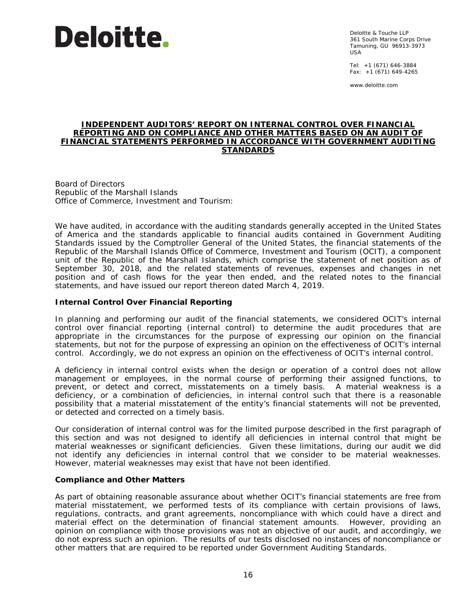

Deloitte & Touche LLP 361 South Marine Corps Drive Tamuning, GU 96913-3973 USA

Tel: +1 (671) 646-3884 Fax: +1 (671) 649-4265

www.deloitte.com

#### **INDEPENDENT AUDITORS' REPORT ON INTERNAL CONTROL OVER FINANCIAL REPORTING AND ON COMPLIANCE AND OTHER MATTERS BASED ON AN AUDIT OF FINANCIAL STATEMENTS PERFORMED IN ACCORDANCE WITH** *GOVERNMENT AUDITING STANDARDS*

Board of Directors Republic of the Marshall Islands Office of Commerce, Investment and Tourism:

We have audited, in accordance with the auditing standards generally accepted in the United States of America and the standards applicable to financial audits contained in *Government Auditing Standards* issued by the Comptroller General of the United States, the financial statements of the Republic of the Marshall Islands Office of Commerce, Investment and Tourism (OCIT), a component unit of the Republic of the Marshall Islands, which comprise the statement of net position as of September 30, 2018, and the related statements of revenues, expenses and changes in net position and of cash flows for the year then ended, and the related notes to the financial statements, and have issued our report thereon dated March 4, 2019.

#### **Internal Control Over Financial Reporting**

In planning and performing our audit of the financial statements, we considered OCIT's internal control over financial reporting (internal control) to determine the audit procedures that are appropriate in the circumstances for the purpose of expressing our opinion on the financial statements, but not for the purpose of expressing an opinion on the effectiveness of OCIT's internal control. Accordingly, we do not express an opinion on the effectiveness of OCIT's internal control.

A *deficiency in internal control* exists when the design or operation of a control does not allow management or employees, in the normal course of performing their assigned functions, to prevent, or detect and correct, misstatements on a timely basis. A *material weakness* is a deficiency, or a combination of deficiencies, in internal control such that there is a reasonable possibility that a material misstatement of the entity's financial statements will not be prevented, or detected and corrected on a timely basis.

Our consideration of internal control was for the limited purpose described in the first paragraph of this section and was not designed to identify all deficiencies in internal control that might be material weaknesses or significant deficiencies. Given these limitations, during our audit we did not identify any deficiencies in internal control that we consider to be material weaknesses. However, material weaknesses may exist that have not been identified.

#### **Compliance and Other Matters**

As part of obtaining reasonable assurance about whether OCIT's financial statements are free from material misstatement, we performed tests of its compliance with certain provisions of laws, regulations, contracts, and grant agreements, noncompliance with which could have a direct and material effect on the determination of financial statement amounts. However, providing an opinion on compliance with those provisions was not an objective of our audit, and accordingly, we do not express such an opinion. The results of our tests disclosed no instances of noncompliance or other matters that are required to be reported under *Government Auditing Standards*.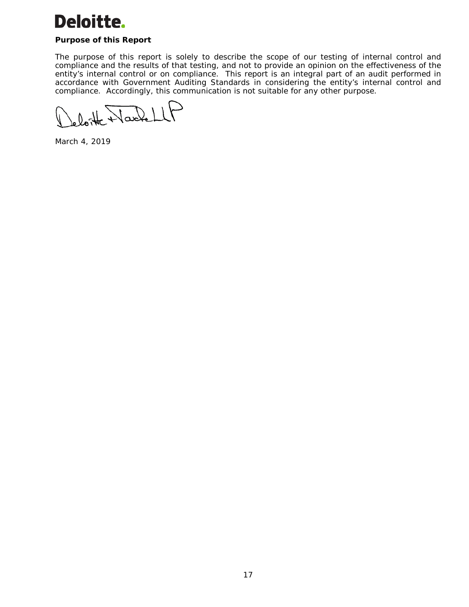# **Deloitte.**

### **Purpose of this Report**

The purpose of this report is solely to describe the scope of our testing of internal control and compliance and the results of that testing, and not to provide an opinion on the effectiveness of the entity's internal control or on compliance. This report is an integral part of an audit performed in accordance with *Government Auditing Standards* in considering the entity's internal control and compliance. Accordingly, this communication is not suitable for any other purpose.

 $\mathcal{Q}_{\mathtt{w}}$ oku  $\mathcal{U}$ 

March 4, 2019